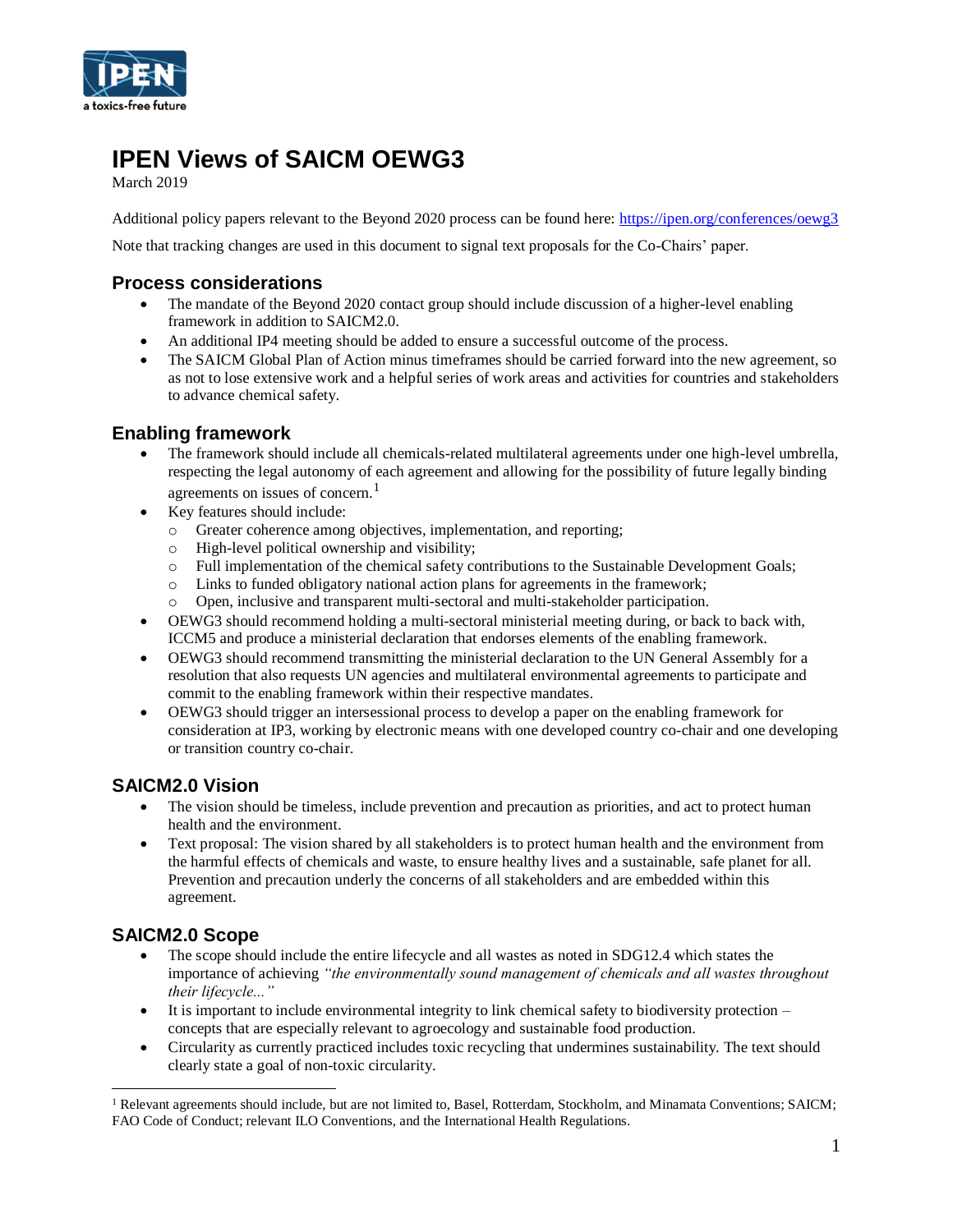

# **IPEN Views of SAICM OEWG3**

March 2019

Additional policy papers relevant to the Beyond 2020 process can be found here:<https://ipen.org/conferences/oewg3>

Note that tracking changes are used in this document to signal text proposals for the Co-Chairs' paper.

### **Process considerations**

- The mandate of the Beyond 2020 contact group should include discussion of a higher-level enabling framework in addition to SAICM2.0.
- An additional IP4 meeting should be added to ensure a successful outcome of the process.
- The SAICM Global Plan of Action minus timeframes should be carried forward into the new agreement, so as not to lose extensive work and a helpful series of work areas and activities for countries and stakeholders to advance chemical safety.

### **Enabling framework**

- The framework should include all chemicals-related multilateral agreements under one high-level umbrella, respecting the legal autonomy of each agreement and allowing for the possibility of future legally binding agreements on issues of concern.<sup>1</sup>
- Key features should include:
	- o Greater coherence among objectives, implementation, and reporting;<br>
	o High-level political ownership and visibility:
	- High-level political ownership and visibility;
	- o Full implementation of the chemical safety contributions to the Sustainable Development Goals;
	- o Links to funded obligatory national action plans for agreements in the framework;
	- o Open, inclusive and transparent multi-sectoral and multi-stakeholder participation.
- OEWG3 should recommend holding a multi-sectoral ministerial meeting during, or back to back with, ICCM5 and produce a ministerial declaration that endorses elements of the enabling framework.
- OEWG3 should recommend transmitting the ministerial declaration to the UN General Assembly for a resolution that also requests UN agencies and multilateral environmental agreements to participate and commit to the enabling framework within their respective mandates.
- OEWG3 should trigger an intersessional process to develop a paper on the enabling framework for consideration at IP3, working by electronic means with one developed country co-chair and one developing or transition country co-chair.

### **SAICM2.0 Vision**

- The vision should be timeless, include prevention and precaution as priorities, and act to protect human health and the environment.
- Text proposal: The vision shared by all stakeholders is to protect human health and the environment from the harmful effects of chemicals and waste, to ensure healthy lives and a sustainable, safe planet for all. Prevention and precaution underly the concerns of all stakeholders and are embedded within this agreement.

### **SAICM2.0 Scope**

 $\overline{a}$ 

- The scope should include the entire lifecycle and all wastes as noted in SDG12.4 which states the importance of achieving *"the environmentally sound management of chemicals and all wastes throughout their lifecycle..."*
- It is important to include environmental integrity to link chemical safety to biodiversity protection concepts that are especially relevant to agroecology and sustainable food production.
- Circularity as currently practiced includes toxic recycling that undermines sustainability. The text should clearly state a goal of non-toxic circularity.

<sup>&</sup>lt;sup>1</sup> Relevant agreements should include, but are not limited to, Basel, Rotterdam, Stockholm, and Minamata Conventions; SAICM; FAO Code of Conduct; relevant ILO Conventions, and the International Health Regulations.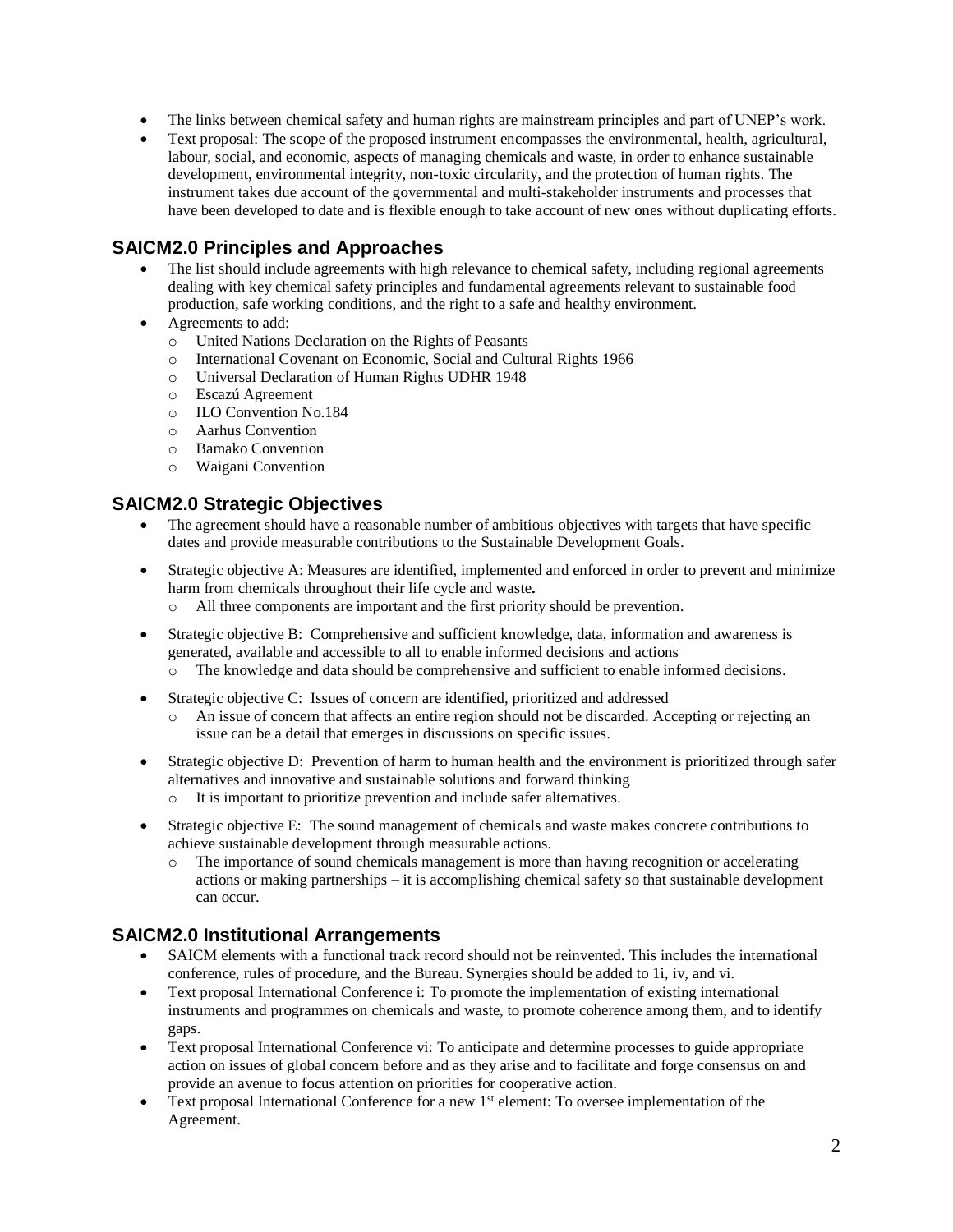- The links between chemical safety and human rights are mainstream principles and part of UNEP's work.
- Text proposal: The scope of the proposed instrument encompasses the environmental, health, agricultural, labour, social, and economic, aspects of managing chemicals and waste, in order to enhance sustainable development, environmental integrity, non-toxic circularity, and the protection of human rights. The instrument takes due account of the governmental and multi-stakeholder instruments and processes that have been developed to date and is flexible enough to take account of new ones without duplicating efforts.

## **SAICM2.0 Principles and Approaches**

- The list should include agreements with high relevance to chemical safety, including regional agreements dealing with key chemical safety principles and fundamental agreements relevant to sustainable food production, safe working conditions, and the right to a safe and healthy environment.
- Agreements to add:
	- o United Nations Declaration on the Rights of Peasants
	- o International Covenant on Economic, Social and Cultural Rights 1966
	- o Universal Declaration of Human Rights UDHR 1948
	- o Escazú Agreement
	- o ILO Convention No.184
	- o Aarhus Convention
	- o Bamako Convention
	- o Waigani Convention

### **SAICM2.0 Strategic Objectives**

- The agreement should have a reasonable number of ambitious objectives with targets that have specific dates and provide measurable contributions to the Sustainable Development Goals.
- Strategic objective A: Measures are identified, implemented and enforced in order to prevent and minimize harm from chemicals throughout their life cycle and waste**.**
	- o All three components are important and the first priority should be prevention.
- Strategic objective B: Comprehensive and sufficient knowledge, data, information and awareness is generated, available and accessible to all to enable informed decisions and actions
	- o The knowledge and data should be comprehensive and sufficient to enable informed decisions.
- Strategic objective C: Issues of concern are identified, prioritized and addressed
	- o An issue of concern that affects an entire region should not be discarded. Accepting or rejecting an issue can be a detail that emerges in discussions on specific issues.
- Strategic objective D: Prevention of harm to human health and the environment is prioritized through safer alternatives and innovative and sustainable solutions and forward thinking
	- o It is important to prioritize prevention and include safer alternatives.
- Strategic objective E: The sound management of chemicals and waste makes concrete contributions to achieve sustainable development through measurable actions.
	- o The importance of sound chemicals management is more than having recognition or accelerating actions or making partnerships – it is accomplishing chemical safety so that sustainable development can occur.

### **SAICM2.0 Institutional Arrangements**

- SAICM elements with a functional track record should not be reinvented. This includes the international conference, rules of procedure, and the Bureau. Synergies should be added to 1i, iv, and vi.
- Text proposal International Conference i: To promote the implementation of existing international instruments and programmes on chemicals and waste, to promote coherence among them, and to identify gaps.
- Text proposal International Conference vi: To anticipate and determine processes to guide appropriate action on issues of global concern before and as they arise and to facilitate and forge consensus on and provide an avenue to focus attention on priorities for cooperative action.
- Text proposal International Conference for a new  $1<sup>st</sup>$  element: To oversee implementation of the Agreement.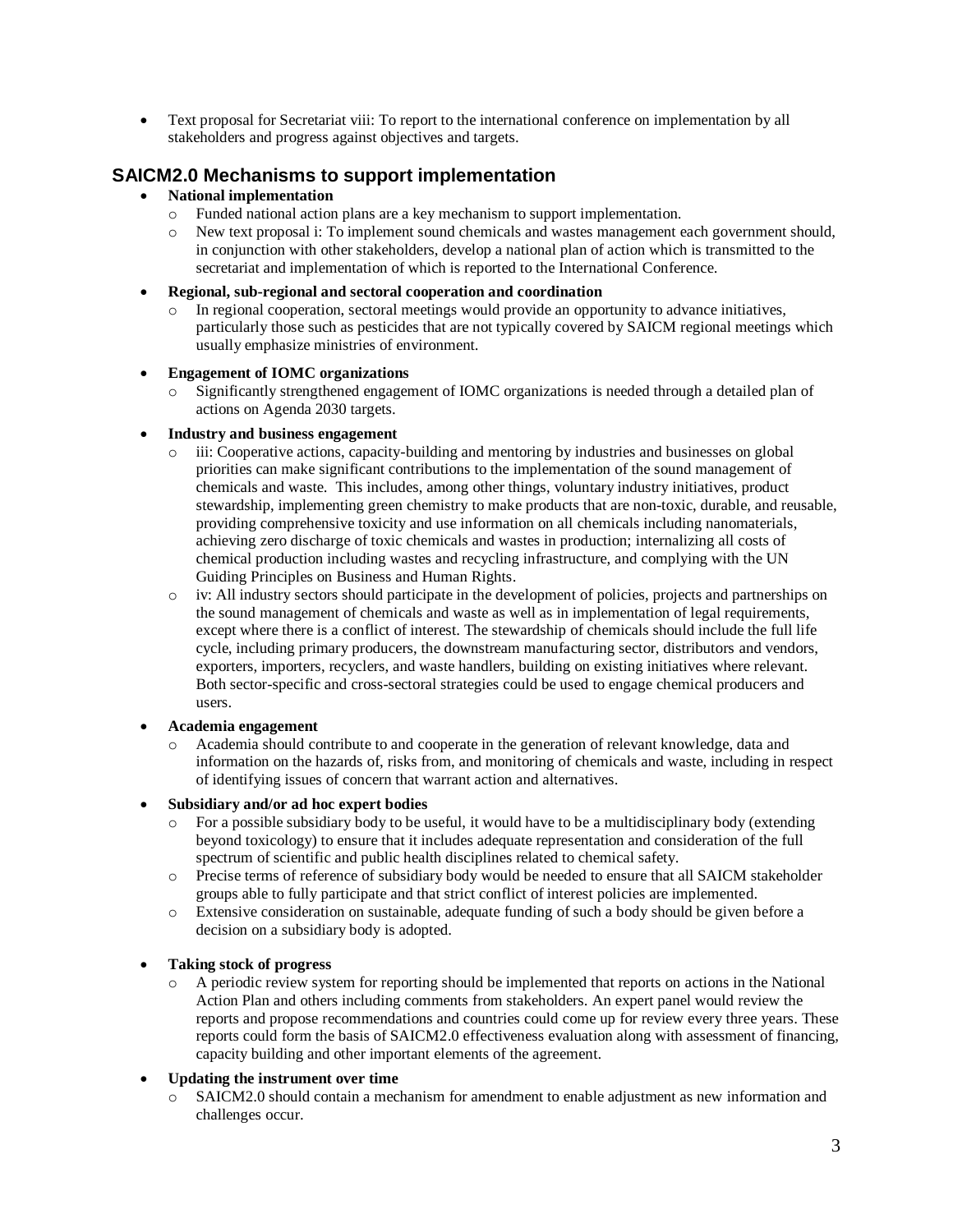• Text proposal for Secretariat viii: To report to the international conference on implementation by all stakeholders and progress against objectives and targets.

### **SAICM2.0 Mechanisms to support implementation**

#### • **National implementation**

- 
- o Funded national action plans are a key mechanism to support implementation. New text proposal i: To implement sound chemicals and wastes management each government should, in conjunction with other stakeholders, develop a national plan of action which is transmitted to the secretariat and implementation of which is reported to the International Conference.
- **Regional, sub-regional and sectoral cooperation and coordination**
	- o In regional cooperation, sectoral meetings would provide an opportunity to advance initiatives, particularly those such as pesticides that are not typically covered by SAICM regional meetings which usually emphasize ministries of environment.

#### • **Engagement of IOMC organizations**

Significantly strengthened engagement of IOMC organizations is needed through a detailed plan of actions on Agenda 2030 targets.

#### • **Industry and business engagement**

- iii: Cooperative actions, capacity-building and mentoring by industries and businesses on global priorities can make significant contributions to the implementation of the sound management of chemicals and waste. This includes, among other things, voluntary industry initiatives, product stewardship, implementing green chemistry to make products that are non-toxic, durable, and reusable, providing comprehensive toxicity and use information on all chemicals including nanomaterials, achieving zero discharge of toxic chemicals and wastes in production; internalizing all costs of chemical production including wastes and recycling infrastructure, and complying with the UN Guiding Principles on Business and Human Rights.
- o iv: All industry sectors should participate in the development of policies, projects and partnerships on the sound management of chemicals and waste as well as in implementation of legal requirements, except where there is a conflict of interest. The stewardship of chemicals should include the full life cycle, including primary producers, the downstream manufacturing sector, distributors and vendors, exporters, importers, recyclers, and waste handlers, building on existing initiatives where relevant. Both sector-specific and cross-sectoral strategies could be used to engage chemical producers and users.

#### • **Academia engagement**

o Academia should contribute to and cooperate in the generation of relevant knowledge, data and information on the hazards of, risks from, and monitoring of chemicals and waste, including in respect of identifying issues of concern that warrant action and alternatives.

#### • **Subsidiary and/or ad hoc expert bodies**

- o For a possible subsidiary body to be useful, it would have to be a multidisciplinary body (extending beyond toxicology) to ensure that it includes adequate representation and consideration of the full spectrum of scientific and public health disciplines related to chemical safety.
- o Precise terms of reference of subsidiary body would be needed to ensure that all SAICM stakeholder groups able to fully participate and that strict conflict of interest policies are implemented.
- o Extensive consideration on sustainable, adequate funding of such a body should be given before a decision on a subsidiary body is adopted.

#### • **Taking stock of progress**

o A periodic review system for reporting should be implemented that reports on actions in the National Action Plan and others including comments from stakeholders. An expert panel would review the reports and propose recommendations and countries could come up for review every three years. These reports could form the basis of SAICM2.0 effectiveness evaluation along with assessment of financing, capacity building and other important elements of the agreement.

#### • **Updating the instrument over time**

o SAICM2.0 should contain a mechanism for amendment to enable adjustment as new information and challenges occur.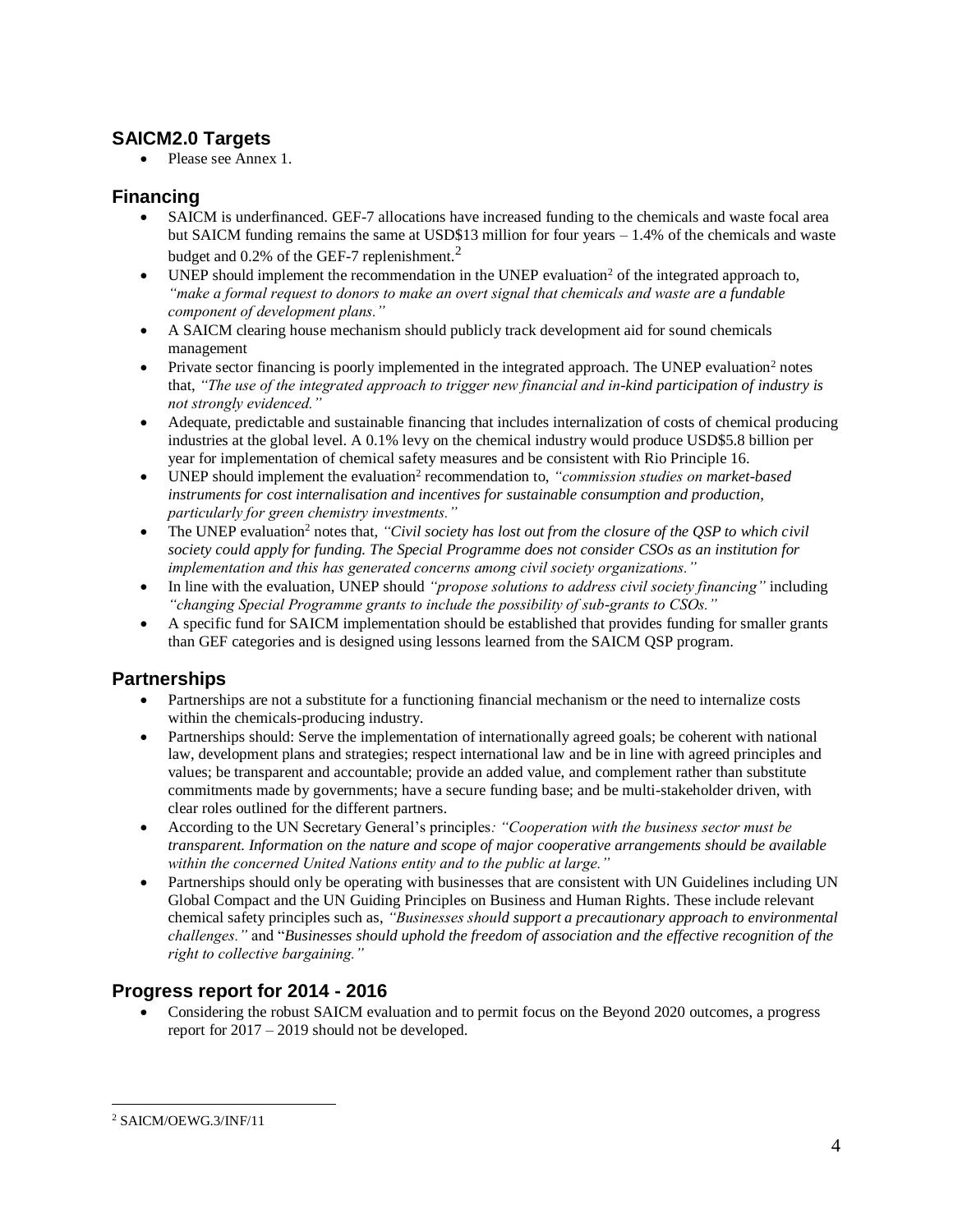### **SAICM2.0 Targets**

• Please see Annex 1.

### **Financing**

- SAICM is underfinanced. GEF-7 allocations have increased funding to the chemicals and waste focal area but SAICM funding remains the same at USD\$13 million for four years – 1.4% of the chemicals and waste budget and 0.2% of the GEF-7 replenishment.<sup>2</sup>
- UNEP should implement the recommendation in the UNEP evaluation<sup>2</sup> of the integrated approach to, *"make a formal request to donors to make an overt signal that chemicals and waste are a fundable component of development plans."*
- A SAICM clearing house mechanism should publicly track development aid for sound chemicals management
- Private sector financing is poorly implemented in the integrated approach. The UNEP evaluation<sup>2</sup> notes that, *"The use of the integrated approach to trigger new financial and in-kind participation of industry is not strongly evidenced."*
- Adequate, predictable and sustainable financing that includes internalization of costs of chemical producing industries at the global level. A 0.1% levy on the chemical industry would produce USD\$5.8 billion per year for implementation of chemical safety measures and be consistent with Rio Principle 16.
- UNEP should implement the evaluation<sup>2</sup> recommendation to, "commission studies on market-based *instruments for cost internalisation and incentives for sustainable consumption and production, particularly for green chemistry investments."*
- The UNEP evaluation<sup>2</sup> notes that, "Civil society has lost out from the closure of the QSP to which civil *society could apply for funding. The Special Programme does not consider CSOs as an institution for implementation and this has generated concerns among civil society organizations."*
- In line with the evaluation, UNEP should *"propose solutions to address civil society financing"* including *"changing Special Programme grants to include the possibility of sub-grants to CSOs."*
- A specific fund for SAICM implementation should be established that provides funding for smaller grants than GEF categories and is designed using lessons learned from the SAICM QSP program.

# **Partnerships**

- Partnerships are not a substitute for a functioning financial mechanism or the need to internalize costs within the chemicals-producing industry.
- Partnerships should: Serve the implementation of internationally agreed goals; be coherent with national law, development plans and strategies; respect international law and be in line with agreed principles and values; be transparent and accountable; provide an added value, and complement rather than substitute commitments made by governments; have a secure funding base; and be multi-stakeholder driven, with clear roles outlined for the different partners.
- According to the UN Secretary General's principles*: "Cooperation with the business sector must be transparent. Information on the nature and scope of major cooperative arrangements should be available within the concerned United Nations entity and to the public at large."*
- Partnerships should only be operating with businesses that are consistent with UN Guidelines including UN Global Compact and the UN Guiding Principles on Business and Human Rights. These include relevant chemical safety principles such as, *"Businesses should support a precautionary approach to environmental challenges."* and "*Businesses should uphold the freedom of association and the effective recognition of the right to collective bargaining."*

# **Progress report for 2014 - 2016**

• Considering the robust SAICM evaluation and to permit focus on the Beyond 2020 outcomes, a progress report for 2017 – 2019 should not be developed.

 $\overline{a}$ <sup>2</sup> SAICM/OEWG.3/INF/11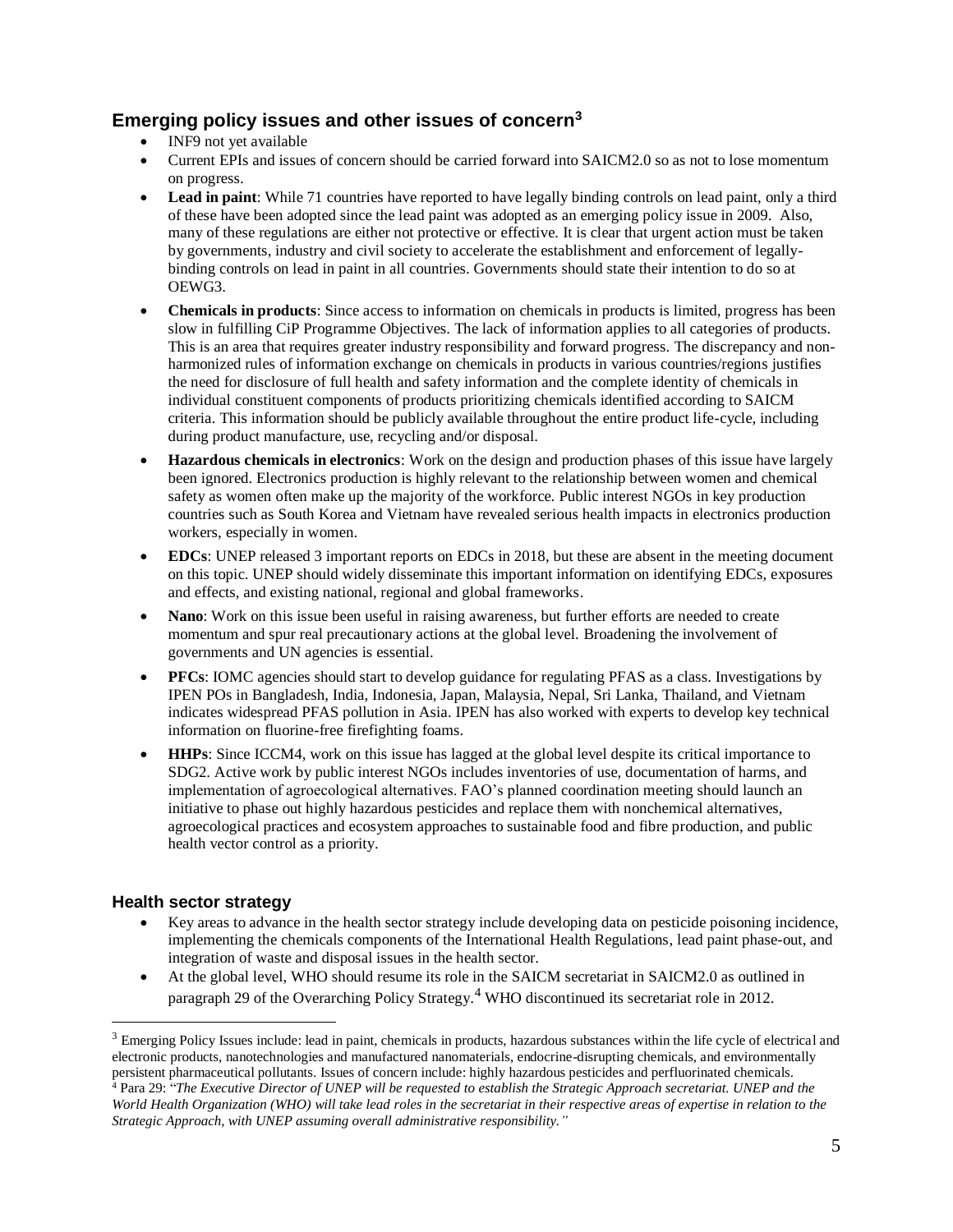### **Emerging policy issues and other issues of concern<sup>3</sup>**

- INF9 not yet available
- Current EPIs and issues of concern should be carried forward into SAICM2.0 so as not to lose momentum on progress.
- **Lead in paint**: While 71 countries have reported to have legally binding controls on lead paint, only a third of these have been adopted since the lead paint was adopted as an emerging policy issue in 2009. Also, many of these regulations are either not protective or effective. It is clear that urgent action must be taken by governments, industry and civil society to accelerate the establishment and enforcement of legallybinding controls on lead in paint in all countries. Governments should state their intention to do so at OEWG3.
- **Chemicals in products**: Since access to information on chemicals in products is limited, progress has been slow in fulfilling CiP Programme Objectives. The lack of information applies to all categories of products. This is an area that requires greater industry responsibility and forward progress. The discrepancy and nonharmonized rules of information exchange on chemicals in products in various countries/regions justifies the need for disclosure of full health and safety information and the complete identity of chemicals in individual constituent components of products prioritizing chemicals identified according to SAICM criteria. This information should be publicly available throughout the entire product life-cycle, including during product manufacture, use, recycling and/or disposal.
- **Hazardous chemicals in electronics**: Work on the design and production phases of this issue have largely been ignored. Electronics production is highly relevant to the relationship between women and chemical safety as women often make up the majority of the workforce. Public interest NGOs in key production countries such as South Korea and Vietnam have revealed serious health impacts in electronics production workers, especially in women.
- **EDCs**: UNEP released 3 important reports on EDCs in 2018, but these are absent in the meeting document on this topic. UNEP should widely disseminate this important information on identifying EDCs, exposures and effects, and existing national, regional and global frameworks.
- **Nano**: Work on this issue been useful in raising awareness, but further efforts are needed to create momentum and spur real precautionary actions at the global level. Broadening the involvement of governments and UN agencies is essential.
- **PFCs**: IOMC agencies should start to develop guidance for regulating PFAS as a class. Investigations by IPEN POs in Bangladesh, India, Indonesia, Japan, Malaysia, Nepal, Sri Lanka, Thailand, and Vietnam indicates widespread PFAS pollution in Asia. IPEN has also worked with experts to develop key technical information on fluorine-free firefighting foams.
- **HHPs**: Since ICCM4, work on this issue has lagged at the global level despite its critical importance to SDG2. Active work by public interest NGOs includes inventories of use, documentation of harms, and implementation of agroecological alternatives. FAO's planned coordination meeting should launch an initiative to phase out highly hazardous pesticides and replace them with nonchemical alternatives, agroecological practices and ecosystem approaches to sustainable food and fibre production, and public health vector control as a priority.

#### **Health sector strategy**

 $\overline{a}$ 

- Key areas to advance in the health sector strategy include developing data on pesticide poisoning incidence, implementing the chemicals components of the International Health Regulations, lead paint phase-out, and integration of waste and disposal issues in the health sector.
- At the global level, WHO should resume its role in the SAICM secretariat in SAICM2.0 as outlined in paragraph 29 of the Overarching Policy Strategy.<sup>4</sup> WHO discontinued its secretariat role in 2012.

<sup>&</sup>lt;sup>3</sup> Emerging Policy Issues include: lead in paint, chemicals in products, hazardous substances within the life cycle of electrical and electronic products, nanotechnologies and manufactured nanomaterials, endocrine-disrupting chemicals, and environmentally persistent pharmaceutical pollutants. Issues of concern include: highly hazardous pesticides and perfluorinated chemicals. <sup>4</sup> Para 29: "*The Executive Director of UNEP will be requested to establish the Strategic Approach secretariat. UNEP and the World Health Organization (WHO) will take lead roles in the secretariat in their respective areas of expertise in relation to the Strategic Approach, with UNEP assuming overall administrative responsibility."*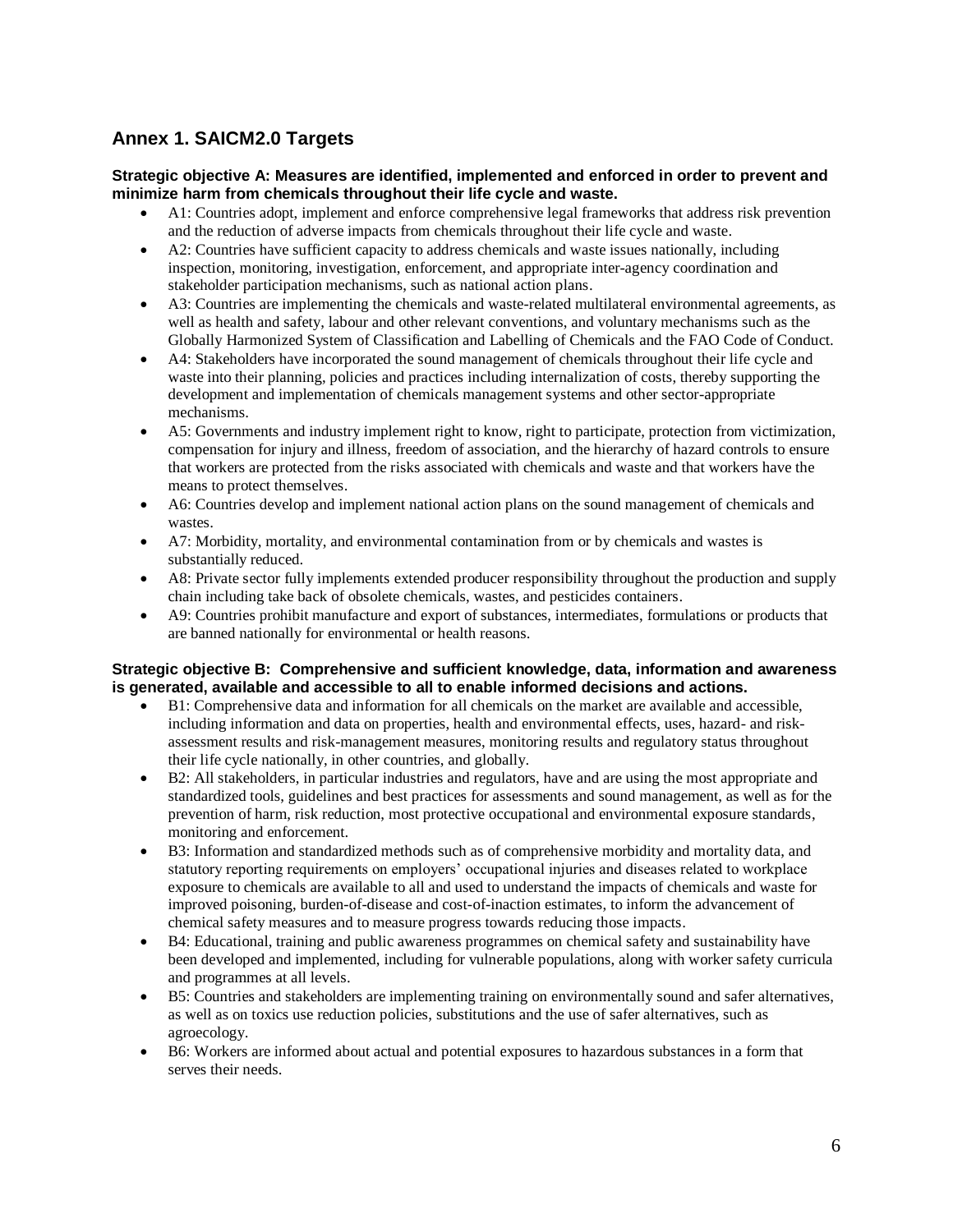## **Annex 1. SAICM2.0 Targets**

#### **Strategic objective A: Measures are identified, implemented and enforced in order to prevent and minimize harm from chemicals throughout their life cycle and waste.**

- A1: Countries adopt, implement and enforce comprehensive legal frameworks that address risk prevention and the reduction of adverse impacts from chemicals throughout their life cycle and waste.
- A2: Countries have sufficient capacity to address chemicals and waste issues nationally, including inspection, monitoring, investigation, enforcement, and appropriate inter-agency coordination and stakeholder participation mechanisms, such as national action plans.
- A3: Countries are implementing the chemicals and waste-related multilateral environmental agreements, as well as health and safety, labour and other relevant conventions, and voluntary mechanisms such as the Globally Harmonized System of Classification and Labelling of Chemicals and the FAO Code of Conduct.
- A4: Stakeholders have incorporated the sound management of chemicals throughout their life cycle and waste into their planning, policies and practices including internalization of costs, thereby supporting the development and implementation of chemicals management systems and other sector-appropriate mechanisms.
- A5: Governments and industry implement right to know, right to participate, protection from victimization, compensation for injury and illness, freedom of association, and the hierarchy of hazard controls to ensure that workers are protected from the risks associated with chemicals and waste and that workers have the means to protect themselves.
- A6: Countries develop and implement national action plans on the sound management of chemicals and wastes.
- A7: Morbidity, mortality, and environmental contamination from or by chemicals and wastes is substantially reduced.
- A8: Private sector fully implements extended producer responsibility throughout the production and supply chain including take back of obsolete chemicals, wastes, and pesticides containers.
- A9: Countries prohibit manufacture and export of substances, intermediates, formulations or products that are banned nationally for environmental or health reasons.

#### **Strategic objective B: Comprehensive and sufficient knowledge, data, information and awareness is generated, available and accessible to all to enable informed decisions and actions.**

- B1: Comprehensive data and information for all chemicals on the market are available and accessible, including information and data on properties, health and environmental effects, uses, hazard- and riskassessment results and risk-management measures, monitoring results and regulatory status throughout their life cycle nationally, in other countries, and globally.
- B2: All stakeholders, in particular industries and regulators, have and are using the most appropriate and standardized tools, guidelines and best practices for assessments and sound management, as well as for the prevention of harm, risk reduction, most protective occupational and environmental exposure standards, monitoring and enforcement.
- B3: Information and standardized methods such as of comprehensive morbidity and mortality data, and statutory reporting requirements on employers' occupational injuries and diseases related to workplace exposure to chemicals are available to all and used to understand the impacts of chemicals and waste for improved poisoning, burden-of-disease and cost-of-inaction estimates, to inform the advancement of chemical safety measures and to measure progress towards reducing those impacts.
- B4: Educational, training and public awareness programmes on chemical safety and sustainability have been developed and implemented, including for vulnerable populations, along with worker safety curricula and programmes at all levels.
- B5: Countries and stakeholders are implementing training on environmentally sound and safer alternatives, as well as on toxics use reduction policies, substitutions and the use of safer alternatives, such as agroecology.
- B6: Workers are informed about actual and potential exposures to hazardous substances in a form that serves their needs.